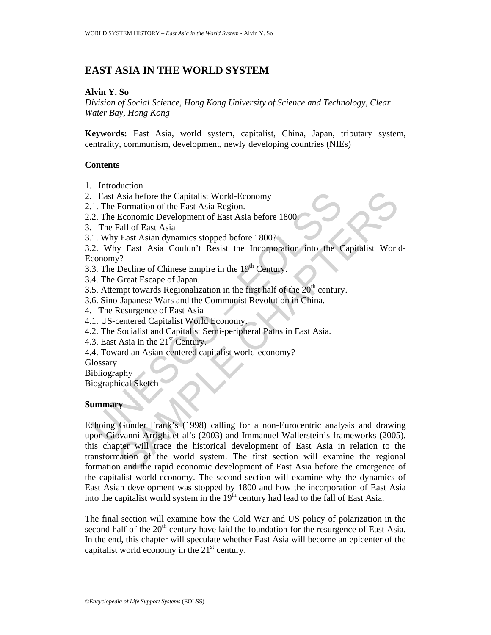## **EAST ASIA IN THE WORLD SYSTEM**

#### **Alvin Y. So**

*Division of Social Science, Hong Kong University of Science and Technology, Clear Water Bay, Hong Kong* 

**Keywords:** East Asia, world system, capitalist, China, Japan, tributary system, centrality, communism, development, newly developing countries (NIEs)

#### **Contents**

- 1. Introduction
- 2. East Asia before the Capitalist World-Economy
- 2.1. The Formation of the East Asia Region.
- 2.2. The Economic Development of East Asia before 1800.
- 3. The Fall of East Asia
- 3.1. Why East Asian dynamics stopped before 1800?
- 3.2. Why East Asia Couldn't Resist the Incorporation into the Capitalist World-Economy?
- 3.3. The Decline of Chinese Empire in the  $19<sup>th</sup>$  Century.
- 3.4. The Great Escape of Japan.
- 3.5. Attempt towards Regionalization in the first half of the  $20<sup>th</sup>$  century.
- 3.6. Sino-Japanese Wars and the Communist Revolution in China.
- 4. The Resurgence of East Asia
- 4.1. US-centered Capitalist World Economy.
- 4.2. The Socialist and Capitalist Semi-peripheral Paths in East Asia.
- 4.3. East Asia in the  $21<sup>st</sup>$  Century.
- 4.4. Toward an Asian-centered capitalist world-economy?
- **Glossary**

Bibliography

Biographical Sketch

#### **Summary**

Exact Asia before the Capitalist World-Economy<br>
1. The Formation of the East Asia Region.<br>
2. The Economic Development of East Asia before 1800.<br>
The Eaul of East Asia dynamics stopped before 1800?<br>
2. Why East Asia dynam Asia before the Capitalist World-Economy<br>
Formation of the East Asia Region.<br>
Economic Development of East Asia before 1800<br>
Fast Asia dynamics stopped before 1800?<br>
Fast Asia Couldn't Resist the Incorporation into the Cap Echoing Gunder Frank's (1998) calling for a non-Eurocentric analysis and drawing upon Giovanni Arrighi et al's (2003) and Immanuel Wallerstein's frameworks (2005), this chapter will trace the historical development of East Asia in relation to the transformation of the world system. The first section will examine the regional formation and the rapid economic development of East Asia before the emergence of the capitalist world-economy. The second section will examine why the dynamics of East Asian development was stopped by 1800 and how the incorporation of East Asia into the capitalist world system in the  $19<sup>th</sup>$  century had lead to the fall of East Asia.

The final section will examine how the Cold War and US policy of polarization in the second half of the  $20<sup>th</sup>$  century have laid the foundation for the resurgence of East Asia. In the end, this chapter will speculate whether East Asia will become an epicenter of the capitalist world economy in the  $21<sup>st</sup>$  century.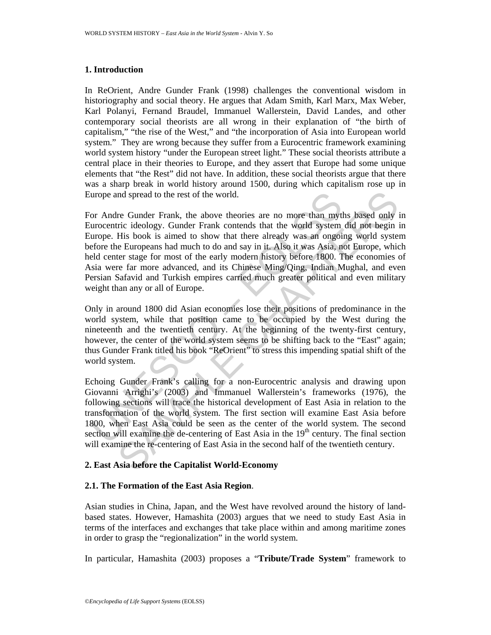#### **1. Introduction**

In ReOrient, Andre Gunder Frank (1998) challenges the conventional wisdom in historiography and social theory. He argues that Adam Smith, Karl Marx, Max Weber, Karl Polanyi, Fernand Braudel, Immanuel Wallerstein, David Landes, and other contemporary social theorists are all wrong in their explanation of "the birth of capitalism," "the rise of the West," and "the incorporation of Asia into European world system." They are wrong because they suffer from a Eurocentric framework examining world system history "under the European street light." These social theorists attribute a central place in their theories to Europe, and they assert that Europe had some unique elements that "the Rest" did not have. In addition, these social theorists argue that there was a sharp break in world history around 1500, during which capitalism rose up in Europe and spread to the rest of the world.

urope and spread to the rest of the world.<br>
or Andre Gunder Frank, the above theories are no more than myth<br>
urocentric ideology. Gunder Frank contends that the world system<br>
urope. His book is aimed to show that there alr and spread to the rest of the world.<br>
re Gunder Frank, the above theories are no more than myths based only i<br>
ric ideology. Gunder Frank contends that the world system did not begin<br>
His book is aimed to show that the al For Andre Gunder Frank, the above theories are no more than myths based only in Eurocentric ideology. Gunder Frank contends that the world system did not begin in Europe. His book is aimed to show that there already was an ongoing world system before the Europeans had much to do and say in it. Also it was Asia, not Europe, which held center stage for most of the early modern history before 1800. The economies of Asia were far more advanced, and its Chinese Ming/Qing, Indian Mughal, and even Persian Safavid and Turkish empires carried much greater political and even military weight than any or all of Europe.

Only in around 1800 did Asian economies lose their positions of predominance in the world system, while that position came to be occupied by the West during the nineteenth and the twentieth century. At the beginning of the twenty-first century, however, the center of the world system seems to be shifting back to the "East" again; thus Gunder Frank titled his book "ReOrient" to stress this impending spatial shift of the world system.

Echoing Gunder Frank's calling for a non-Eurocentric analysis and drawing upon Giovanni Arrighi's (2003) and Immanuel Wallerstein's frameworks (1976), the following sections will trace the historical development of East Asia in relation to the transformation of the world system. The first section will examine East Asia before 1800, when East Asia could be seen as the center of the world system. The second section will examine the de-centering of East Asia in the  $19<sup>th</sup>$  century. The final section will examine the re-centering of East Asia in the second half of the twentieth century.

### **2. East Asia before the Capitalist World-Economy**

#### **2.1. The Formation of the East Asia Region**.

Asian studies in China, Japan, and the West have revolved around the history of landbased states. However, Hamashita (2003) argues that we need to study East Asia in terms of the interfaces and exchanges that take place within and among maritime zones in order to grasp the "regionalization" in the world system.

In particular, Hamashita (2003) proposes a "**Tribute/Trade System**" framework to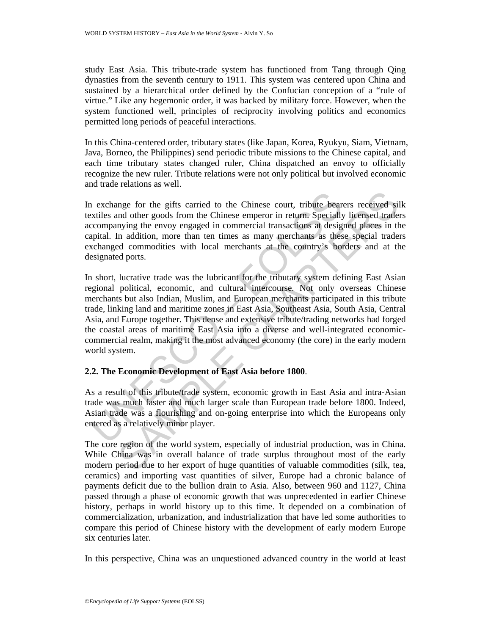study East Asia. This tribute-trade system has functioned from Tang through Qing dynasties from the seventh century to 1911. This system was centered upon China and sustained by a hierarchical order defined by the Confucian conception of a "rule of virtue." Like any hegemonic order, it was backed by military force. However, when the system functioned well, principles of reciprocity involving politics and economics permitted long periods of peaceful interactions.

In this China-centered order, tributary states (like Japan, Korea, Ryukyu, Siam, Vietnam, Java, Borneo, the Philippines) send periodic tribute missions to the Chinese capital, and each time tributary states changed ruler, China dispatched an envoy to officially recognize the new ruler. Tribute relations were not only political but involved economic and trade relations as well.

In exchange for the gifts carried to the Chinese court, tribute bearers received silk textiles and other goods from the Chinese emperor in return. Specially licensed traders accompanying the envoy engaged in commercial transactions at designed places in the capital. In addition, more than ten times as many merchants as these special traders exchanged commodities with local merchants at the country's borders and at the designated ports.

The exchange for the gifts carried to the Chinese court, tribute beanties and other goods from the Chinese emperor in return. Specially companying the envoy engaged in commercial transactions at designatial. In addition, m mge for the gifts carried to the Chinese court, tribute bearers received silled ond other goods from the Chinese emperor in return. Specially licensed trademying the envoy engaged in commercial transactions at designed pla In short, lucrative trade was the lubricant for the tributary system defining East Asian regional political, economic, and cultural intercourse. Not only overseas Chinese merchants but also Indian, Muslim, and European merchants participated in this tribute trade, linking land and maritime zones in East Asia, Southeast Asia, South Asia, Central Asia, and Europe together. This dense and extensive tribute/trading networks had forged the coastal areas of maritime East Asia into a diverse and well-integrated economiccommercial realm, making it the most advanced economy (the core) in the early modern world system.

#### **2.2. The Economic Development of East Asia before 1800**.

As a result of this tribute/trade system, economic growth in East Asia and intra-Asian trade was much faster and much larger scale than European trade before 1800. Indeed, Asian trade was a flourishing and on-going enterprise into which the Europeans only entered as a relatively minor player.

The core region of the world system, especially of industrial production, was in China. While China was in overall balance of trade surplus throughout most of the early modern period due to her export of huge quantities of valuable commodities (silk, tea, ceramics) and importing vast quantities of silver, Europe had a chronic balance of payments deficit due to the bullion drain to Asia. Also, between 960 and 1127, China passed through a phase of economic growth that was unprecedented in earlier Chinese history, perhaps in world history up to this time. It depended on a combination of commercialization, urbanization, and industrialization that have led some authorities to compare this period of Chinese history with the development of early modern Europe six centuries later.

In this perspective, China was an unquestioned advanced country in the world at least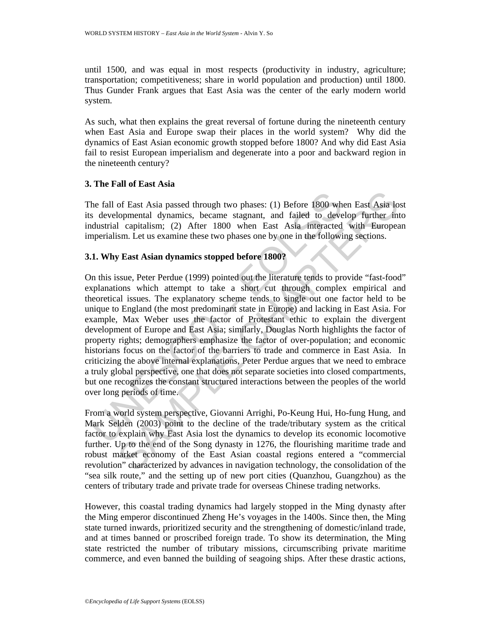until 1500, and was equal in most respects (productivity in industry, agriculture; transportation; competitiveness; share in world population and production) until 1800. Thus Gunder Frank argues that East Asia was the center of the early modern world system.

As such, what then explains the great reversal of fortune during the nineteenth century when East Asia and Europe swap their places in the world system? Why did the dynamics of East Asian economic growth stopped before 1800? And why did East Asia fail to resist European imperialism and degenerate into a poor and backward region in the nineteenth century?

#### **3. The Fall of East Asia**

The fall of East Asia passed through two phases: (1) Before 1800 when East Asia lost its developmental dynamics, became stagnant, and failed to develop further into industrial capitalism; (2) After 1800 when East Asia interacted with European imperialism. Let us examine these two phases one by one in the following sections.

#### **3.1. Why East Asian dynamics stopped before 1800?**

he fall of East Asia passed through two phases: (1) Before 1800 whs developmental dynamics, became stagnant, and failed to develoustrial capitalism; (2) After 1800 when East Asia interacted mperialism. Let us examine these of East Asia passed through two phases: (1) Before 1800 when East Asia loopmental dynamics, became stagnant, and failed to develop further in 1 capitalism; (2) After 1800 when East Asia interacted with Europea sm. Let us e On this issue, Peter Perdue (1999) pointed out the literature tends to provide "fast-food" explanations which attempt to take a short cut through complex empirical and theoretical issues. The explanatory scheme tends to single out one factor held to be unique to England (the most predominant state in Europe) and lacking in East Asia. For example, Max Weber uses the factor of Protestant ethic to explain the divergent development of Europe and East Asia; similarly, Douglas North highlights the factor of property rights; demographers emphasize the factor of over-population; and economic historians focus on the factor of the barriers to trade and commerce in East Asia. In criticizing the above internal explanations, Peter Perdue argues that we need to embrace a truly global perspective, one that does not separate societies into closed compartments, but one recognizes the constant structured interactions between the peoples of the world over long periods of time.

From a world system perspective, Giovanni Arrighi, Po-Keung Hui, Ho-fung Hung, and Mark Selden (2003) point to the decline of the trade/tributary system as the critical factor to explain why East Asia lost the dynamics to develop its economic locomotive further. Up to the end of the Song dynasty in 1276, the flourishing maritime trade and robust market economy of the East Asian coastal regions entered a "commercial revolution" characterized by advances in navigation technology, the consolidation of the "sea silk route," and the setting up of new port cities (Quanzhou, Guangzhou) as the centers of tributary trade and private trade for overseas Chinese trading networks.

However, this coastal trading dynamics had largely stopped in the Ming dynasty after the Ming emperor discontinued Zheng He's voyages in the 1400s. Since then, the Ming state turned inwards, prioritized security and the strengthening of domestic/inland trade, and at times banned or proscribed foreign trade. To show its determination, the Ming state restricted the number of tributary missions, circumscribing private maritime commerce, and even banned the building of seagoing ships. After these drastic actions,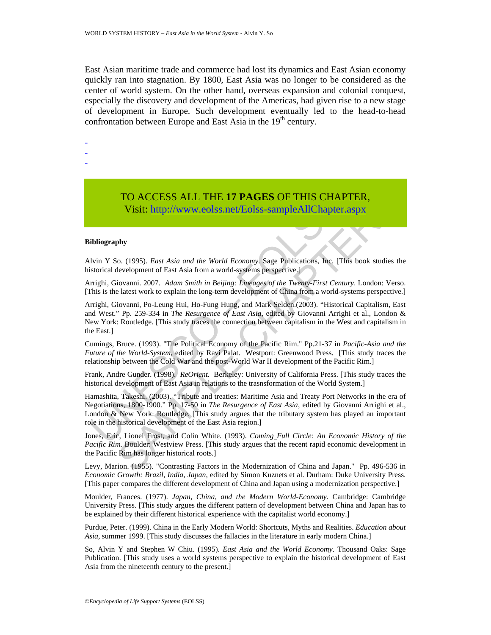East Asian maritime trade and commerce had lost its dynamics and East Asian economy quickly ran into stagnation. By 1800, East Asia was no longer to be considered as the center of world system. On the other hand, overseas expansion and colonial conquest, especially the discovery and development of the Americas, had given rise to a new stage of development in Europe. Such development eventually led to the head-to-head confrontation between Europe and East Asia in the  $19<sup>th</sup>$  century.

-

-

-

# TO ACCESS ALL THE **17 PAGES** OF THIS CHAPTER,

Visit: http://www.eolss.net/Eolss-sampleAllChapter.aspx

#### **Bibliography**

Alvin Y So. (1995). *East Asia and the World Economy*. Sage Publications, Inc. [This book studies the historical development of East Asia from a world-systems perspective.]

Arrighi, Giovanni. 2007. *Adam Smith in Beijing: Lineages of the Twenty-First Century*. London: Verso. [This is the latest work to explain the long-term development of China from a world-systems perspective.]

Arrighi, Giovanni, Po-Leung Hui, Ho-Fung Hung, and Mark Selden.(2003). "Historical Capitalism, East and West." Pp. 259-334 in *The Resurgence of East Asia*, edited by Giovanni Arrighi et al., London & New York: Routledge. [This study traces the connection between capitalism in the West and capitalism in the East.]

Cumings, Bruce. (1993). "The Political Economy of the Pacific Rim." Pp.21-37 in *Pacific-Asia and the Future of the World-System*, edited by Ravi Palat. Westport: Greenwood Press. [This study traces the relationship between the Cold War and the post-World War II development of the Pacific Rim.]

Frank, Andre Gunder. (1998). *ReOrient.* Berkeley: University of California Press. [This study traces the historical development of East Asia in relations to the trasnsformation of the World System.]

**TO ACCESS ALL THE 17 PAGES OF THIS CHAI**<br>Visit: http://www.eolss.net/Eolss-sampleAllChapter<br>bibiography<br>thin Y So. (1995). *East Asia and the World Economy*. Sage Publications, Inc. [T<br>in Storical development of East Asi **TO ACCESS ALL THE 17 PAGES OF THIS CHAPTER,**<br>
Visit: http://www.colss.net/Eolss-sample.AllChapter.aspx<br>
by<br>
o. (1995). *East Asia and the World Economy*. Sage Publications, Inc. [This book studies the<br>
elevelopment of Ea Hamashita, Takeshi. (2003). "Tribute and treaties: Maritime Asia and Treaty Port Networks in the era of Negotiations, 1800-1900." Pp. 17-50 in *The Resurgence of East Asia*, edited by Giovanni Arrighi et al., London & New York: Routledge. [This study argues that the tributary system has played an important role in the historical development of the East Asia region.]

Jones, Eric, Lionel Frost, and Colin White. (1993). *Coming Full Circle: An Economic History of the Pacific Rim.* Boulder: Westview Press. [This study argues that the recent rapid economic development in the Pacific Rim has longer historical roots.]

Levy, Marion. (1955). "Contrasting Factors in the Modernization of China and Japan." Pp. 496-536 in *Economic Growth: Brazil, India, Japan*, edited by Simon Kuznets et al. Durham: Duke University Press. [This paper compares the different development of China and Japan using a modernization perspective.]

Moulder, Frances. (1977). *Japan, China, and the Modern World-Economy*. Cambridge: Cambridge University Press. [This study argues the different pattern of development between China and Japan has to be explained by their different historical experience with the capitalist world economy.]

Purdue, Peter. (1999). China in the Early Modern World: Shortcuts, Myths and Realities. *Education about Asia,* summer 1999. [This study discusses the fallacies in the literature in early modern China.]

So, Alvin Y and Stephen W Chiu. (1995). *East Asia and the World Economy*. Thousand Oaks: Sage Publication. [This study uses a world systems perspective to explain the historical development of East Asia from the nineteenth century to the present.]